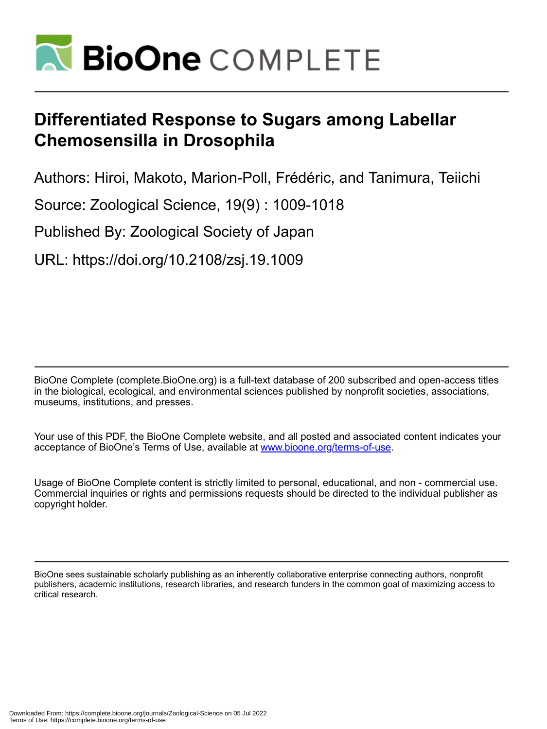

# **Differentiated Response to Sugars among Labellar Chemosensilla in Drosophila**

Authors: Hiroi, Makoto, Marion-Poll, Frédéric, and Tanimura, Teiichi

Source: Zoological Science, 19(9) : 1009-1018

Published By: Zoological Society of Japan

URL: https://doi.org/10.2108/zsj.19.1009

BioOne Complete (complete.BioOne.org) is a full-text database of 200 subscribed and open-access titles in the biological, ecological, and environmental sciences published by nonprofit societies, associations, museums, institutions, and presses.

Your use of this PDF, the BioOne Complete website, and all posted and associated content indicates your acceptance of BioOne's Terms of Use, available at www.bioone.org/terms-of-use.

Usage of BioOne Complete content is strictly limited to personal, educational, and non - commercial use. Commercial inquiries or rights and permissions requests should be directed to the individual publisher as copyright holder.

BioOne sees sustainable scholarly publishing as an inherently collaborative enterprise connecting authors, nonprofit publishers, academic institutions, research libraries, and research funders in the common goal of maximizing access to critical research.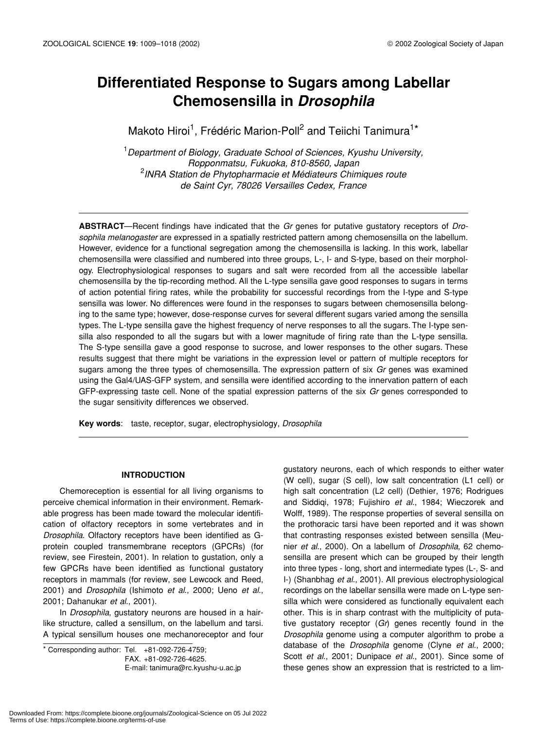# **Differentiated Response to Sugars among Labellar Chemosensilla in** *Drosophila*

Makoto Hiroi<sup>1</sup>, Frédéric Marion-Poll<sup>2</sup> and Teiichi Tanimura<sup>1\*</sup>

1 *Department of Biology, Graduate School of Sciences, Kyushu University, Ropponmatsu, Fukuoka, 810-8560, Japan* 2 *INRA Station de Phytopharmacie et Médiateurs Chimiques route de Saint Cyr, 78026 Versailles Cedex, France*

**ABSTRACT**—Recent findings have indicated that the *Gr* genes for putative gustatory receptors of *Drosophila melanogaster* are expressed in a spatially restricted pattern among chemosensilla on the labellum. However, evidence for a functional segregation among the chemosensilla is lacking. In this work, labellar chemosensilla were classified and numbered into three groups, L-, I- and S-type, based on their morphology. Electrophysiological responses to sugars and salt were recorded from all the accessible labellar chemosensilla by the tip-recording method. All the L-type sensilla gave good responses to sugars in terms of action potential firing rates, while the probability for successful recordings from the I-type and S-type sensilla was lower. No differences were found in the responses to sugars between chemosensilla belonging to the same type; however, dose-response curves for several different sugars varied among the sensilla types. The L-type sensilla gave the highest frequency of nerve responses to all the sugars. The I-type sensilla also responded to all the sugars but with a lower magnitude of firing rate than the L-type sensilla. The S-type sensilla gave a good response to sucrose, and lower responses to the other sugars. These results suggest that there might be variations in the expression level or pattern of multiple receptors for sugars among the three types of chemosensilla. The expression pattern of six *Gr* genes was examined using the Gal4/UAS-GFP system, and sensilla were identified according to the innervation pattern of each GFP-expressing taste cell. None of the spatial expression patterns of the six *Gr* genes corresponded to the sugar sensitivity differences we observed.

**Key words**: taste, receptor, sugar, electrophysiology, *Drosophila*

# **INTRODUCTION**

Chemoreception is essential for all living organisms to perceive chemical information in their environment. Remarkable progress has been made toward the molecular identification of olfactory receptors in some vertebrates and in *Drosophila*. Olfactory receptors have been identified as Gprotein coupled transmembrane receptors (GPCRs) (for review, see Firestein, 2001). In relation to gustation, only a few GPCRs have been identified as functional gustatory receptors in mammals (for review, see Lewcock and Reed, 2001) and *Drosophila* (Ishimoto *et al*., 2000; Ueno *et al*., 2001; Dahanukar *et al*., 2001).

In *Drosophila*, gustatory neurons are housed in a hairlike structure, called a sensillum, on the labellum and tarsi. A typical sensillum houses one mechanoreceptor and four

 $*$  Corresponding author: Tel.  $+81-092-726-4759$ ; FAX. +81-092-726-4625.

E-mail: tanimura@rc.kyushu-u.ac.jp

gustatory neurons, each of which responds to either water (W cell), sugar (S cell), low salt concentration (L1 cell) or high salt concentration (L2 cell) (Dethier, 1976; Rodrigues and Siddiqi, 1978; Fujishiro *et al*., 1984; Wieczorek and Wolff, 1989). The response properties of several sensilla on the prothoracic tarsi have been reported and it was shown that contrasting responses existed between sensilla (Meunier *et al*., 2000). On a labellum of *Drosophila*, 62 chemosensilla are present which can be grouped by their length into three types - long, short and intermediate types (L-, S- and I-) (Shanbhag *et al*., 2001). All previous electrophysiological recordings on the labellar sensilla were made on L-type sensilla which were considered as functionally equivalent each other. This is in sharp contrast with the multiplicity of putative gustatory receptor (*Gr*) genes recently found in the *Drosophila* genome using a computer algorithm to probe a database of the *Drosophila* genome (Clyne *et al*., 2000; Scott *et al*., 2001; Dunipace *et al*., 2001). Since some of these genes show an expression that is restricted to a lim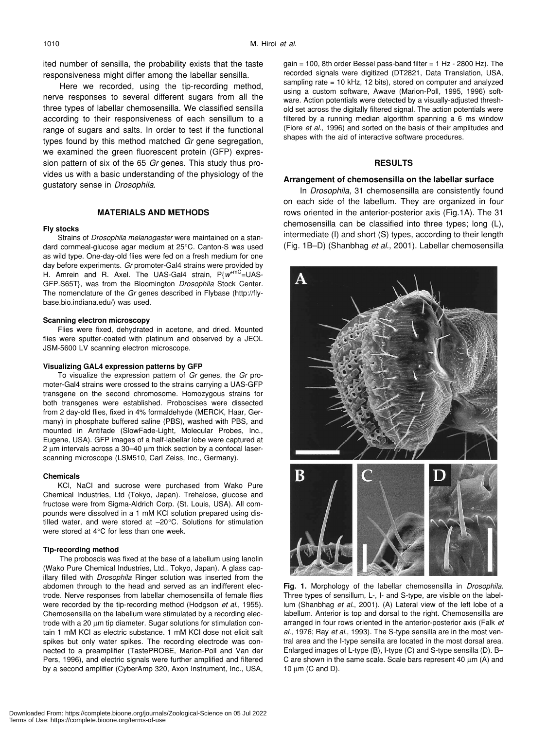ited number of sensilla, the probability exists that the taste responsiveness might differ among the labellar sensilla.

Here we recorded, using the tip-recording method, nerve responses to several different sugars from all the three types of labellar chemosensilla. We classified sensilla according to their responsiveness of each sensillum to a range of sugars and salts. In order to test if the functional types found by this method matched *Gr* gene segregation, we examined the green fluorescent protein (GFP) expression pattern of six of the 65 *Gr* genes. This study thus provides us with a basic understanding of the physiology of the gustatory sense in *Drosophila*.

# **MATERIALS AND METHODS**

# **Fly stocks**

Strains of *Drosophila melanogaster* were maintained on a standard cornmeal-glucose agar medium at 25°C. Canton-S was used as wild type. One-day-old flies were fed on a fresh medium for one day before experiments. *Gr* promoter-Gal4 strains were provided by H. Amrein and R. Axel. The UAS-Gal4 strain, P{ $w^{+m}$ <sup>C</sup>=UAS-GFP.S65T}, was from the Bloomington *Drosophila* Stock Center. The nomenclature of the *Gr* genes described in Flybase (http://flybase.bio.indiana.edu/) was used.

#### **Scanning electron microscopy**

Flies were fixed, dehydrated in acetone, and dried. Mounted flies were sputter-coated with platinum and observed by a JEOL JSM-5600 LV scanning electron microscope.

#### **Visualizing GAL4 expression patterns by GFP**

To visualize the expression pattern of *Gr* genes, the *Gr* promoter-Gal4 strains were crossed to the strains carrying a UAS-GFP transgene on the second chromosome. Homozygous strains for both transgenes were established. Proboscises were dissected from 2 day-old flies, fixed in 4% formaldehyde (MERCK, Haar, Germany) in phosphate buffered saline (PBS), washed with PBS, and mounted in Antifade (SlowFade-Light, Molecular Probes, Inc., Eugene, USA). GFP images of a half-labellar lobe were captured at 2 µm intervals across a 30–40 µm thick section by a confocal laserscanning microscope (LSM510, Carl Zeiss, Inc., Germany).

#### **Chemicals**

KCl, NaCl and sucrose were purchased from Wako Pure Chemical Industries, Ltd (Tokyo, Japan). Trehalose, glucose and fructose were from Sigma-Aldrich Corp. (St. Louis, USA). All compounds were dissolved in a 1 mM KCl solution prepared using distilled water, and were stored at –20°C. Solutions for stimulation were stored at 4°C for less than one week.

#### **Tip-recording method**

The proboscis was fixed at the base of a labellum using lanolin (Wako Pure Chemical Industries, Ltd., Tokyo, Japan). A glass capillary filled with *Drosophila* Ringer solution was inserted from the abdomen through to the head and served as an indifferent electrode. Nerve responses from labellar chemosensilla of female flies were recorded by the tip-recording method (Hodgson *et al*., 1955). Chemosensilla on the labellum were stimulated by a recording electrode with a 20 µm tip diameter. Sugar solutions for stimulation contain 1 mM KCl as electric substance. 1 mM KCl dose not elicit salt spikes but only water spikes. The recording electrode was connected to a preamplifier (TastePROBE, Marion-Poll and Van der Pers, 1996), and electric signals were further amplified and filtered by a second amplifier (CyberAmp 320, Axon Instrument, Inc., USA,  $gain = 100$ , 8th order Bessel pass-band filter  $= 1$  Hz - 2800 Hz). The recorded signals were digitized (DT2821, Data Translation, USA, sampling rate = 10 kHz, 12 bits), stored on computer and analyzed using a custom software, Awave (Marion-Poll, 1995, 1996) software. Action potentials were detected by a visually-adjusted threshold set across the digitally filtered signal. The action potentials were filtered by a running median algorithm spanning a 6 ms window (Fiore *et al.*, 1996) and sorted on the basis of their amplitudes and shapes with the aid of interactive software procedures.

### **RESULTS**

#### **Arrangement of chemosensilla on the labellar surface**

In *Drosophila*, 31 chemosensilla are consistently found on each side of the labellum. They are organized in four rows oriented in the anterior-posterior axis (Fig.1A). The 31 chemosensilla can be classified into three types; long (L), intermediate (I) and short (S) types, according to their length (Fig. 1B–D) (Shanbhag *et al*., 2001). Labellar chemosensilla



**Fig. 1.** Morphology of the labellar chemosensilla in *Drosophila*. Three types of sensillum, L-, I- and S-type, are visible on the labellum (Shanbhag *et al.*, 2001). (A) Lateral view of the left lobe of a labellum. Anterior is top and dorsal to the right. Chemosensilla are arranged in four rows oriented in the anterior-posterior axis (Falk *et al*., 1976; Ray *et al*., 1993). The S-type sensilla are in the most ventral area and the I-type sensilla are located in the most dorsal area. Enlarged images of L-type (B), I-type (C) and S-type sensilla (D). B– C are shown in the same scale. Scale bars represent 40  $\mu$ m (A) and 10  $\mu$ m (C and D).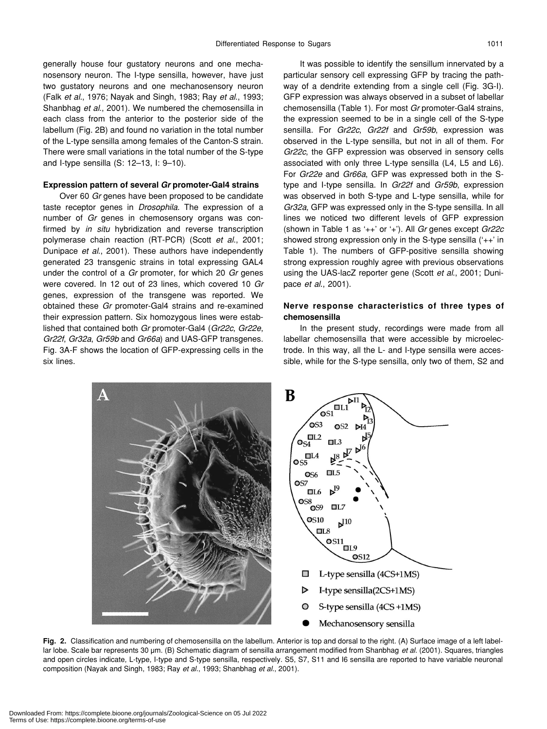generally house four gustatory neurons and one mechanosensory neuron. The I-type sensilla, however, have just two gustatory neurons and one mechanosensory neuron (Falk *et al*., 1976; Nayak and Singh, 1983; Ray *et al*., 1993; Shanbhag *et al*., 2001). We numbered the chemosensilla in each class from the anterior to the posterior side of the labellum (Fig. 2B) and found no variation in the total number of the L-type sensilla among females of the Canton-S strain. There were small variations in the total number of the S-type and I-type sensilla (S: 12–13, I: 9–10).

# **Expression pattern of several** *Gr* **promoter-Gal4 strains**

Over 60 *Gr* genes have been proposed to be candidate taste receptor genes in *Drosophila*. The expression of a number of *Gr* genes in chemosensory organs was confirmed by *in situ* hybridization and reverse transcription polymerase chain reaction (RT-PCR) (Scott *et al*., 2001; Dunipace *et al*., 2001). These authors have independently generated 23 transgenic strains in total expressing GAL4 under the control of a *Gr* promoter, for which 20 *Gr* genes were covered. In 12 out of 23 lines, which covered 10 *Gr* genes, expression of the transgene was reported. We obtained these *Gr* promoter-Gal4 strains and re-examined their expression pattern. Six homozygous lines were established that contained both *Gr* promoter-Gal4 (*Gr22c*, *Gr22e*, *Gr22f*, *Gr32a*, *Gr59b* and *Gr66a*) and UAS-GFP transgenes. Fig. 3A-F shows the location of GFP-expressing cells in the six lines.

It was possible to identify the sensillum innervated by a particular sensory cell expressing GFP by tracing the pathway of a dendrite extending from a single cell (Fig. 3G-I). GFP expression was always observed in a subset of labellar chemosensilla (Table 1). For most *Gr* promoter-Gal4 strains, the expression seemed to be in a single cell of the S-type sensilla. For *Gr22c*, *Gr22f* and *Gr59b*, expression was observed in the L-type sensilla, but not in all of them. For *Gr22c*, the GFP expression was observed in sensory cells associated with only three L-type sensilla (L4, L5 and L6). For *Gr22e* and *Gr66a*, GFP was expressed both in the Stype and I-type sensilla. In *Gr22f* and *Gr59b*, expression was observed in both S-type and L-type sensilla, while for *Gr32a*, GFP was expressed only in the S-type sensilla. In all lines we noticed two different levels of GFP expression (shown in Table 1 as '++' or '+'). All *Gr* genes except *Gr22c* showed strong expression only in the S-type sensilla ('++' in Table 1). The numbers of GFP-positive sensilla showing strong expression roughly agree with previous observations using the UAS-lacZ reporter gene (Scott *et al*., 2001; Dunipace *et al*., 2001).

# **Nerve response characteristics of three types of chemosensilla**

In the present study, recordings were made from all labellar chemosensilla that were accessible by microelectrode. In this way, all the L- and I-type sensilla were accessible, while for the S-type sensilla, only two of them, S2 and



**Fig. 2.** Classification and numbering of chemosensilla on the labellum. Anterior is top and dorsal to the right. (A) Surface image of a left labellar lobe. Scale bar represents 30 µm. (B) Schematic diagram of sensilla arrangement modified from Shanbhag *et al*. (2001). Squares, triangles and open circles indicate, L-type, I-type and S-type sensilla, respectively. S5, S7, S11 and I6 sensilla are reported to have variable neuronal composition (Nayak and Singh, 1983; Ray *et al*., 1993; Shanbhag *et al.*, 2001).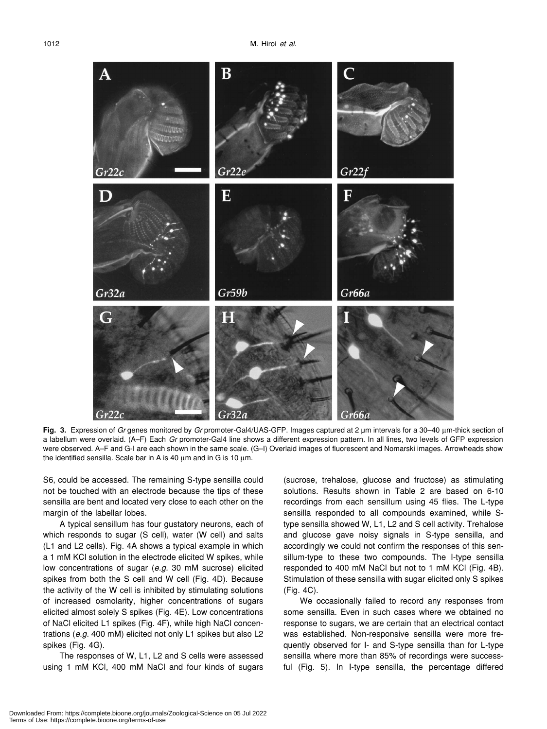

**Fig. 3.** Expression of *Gr* genes monitored by *Gr* promoter-Gal4/UAS-GFP. Images captured at 2 µm intervals for a 30–40 µm-thick section of a labellum were overlaid. (A–F) Each *Gr* promoter-Gal4 line shows a different expression pattern. In all lines, two levels of GFP expression were observed. A–F and G-I are each shown in the same scale. (G–I) Overlaid images of fluorescent and Nomarski images. Arrowheads show the identified sensilla. Scale bar in A is 40 µm and in G is 10 µm.

S6, could be accessed. The remaining S-type sensilla could not be touched with an electrode because the tips of these sensilla are bent and located very close to each other on the margin of the labellar lobes.

A typical sensillum has four gustatory neurons, each of which responds to sugar (S cell), water (W cell) and salts (L1 and L2 cells). Fig. 4A shows a typical example in which a 1 mM KCl solution in the electrode elicited W spikes, while low concentrations of sugar (*e.g.* 30 mM sucrose) elicited spikes from both the S cell and W cell (Fig. 4D). Because the activity of the W cell is inhibited by stimulating solutions of increased osmolarity, higher concentrations of sugars elicited almost solely S spikes (Fig. 4E). Low concentrations of NaCl elicited L1 spikes (Fig. 4F), while high NaCl concentrations (*e.g.* 400 mM) elicited not only L1 spikes but also L2 spikes (Fig. 4G).

The responses of W, L1, L2 and S cells were assessed using 1 mM KCl, 400 mM NaCl and four kinds of sugars

(sucrose, trehalose, glucose and fructose) as stimulating solutions. Results shown in Table 2 are based on 6-10 recordings from each sensillum using 45 flies. The L-type sensilla responded to all compounds examined, while Stype sensilla showed W, L1, L2 and S cell activity. Trehalose and glucose gave noisy signals in S-type sensilla, and accordingly we could not confirm the responses of this sensillum-type to these two compounds. The I-type sensilla responded to 400 mM NaCl but not to 1 mM KCl (Fig. 4B). Stimulation of these sensilla with sugar elicited only S spikes (Fig. 4C).

We occasionally failed to record any responses from some sensilla. Even in such cases where we obtained no response to sugars, we are certain that an electrical contact was established. Non-responsive sensilla were more frequently observed for I- and S-type sensilla than for L-type sensilla where more than 85% of recordings were successful (Fig. 5). In I-type sensilla, the percentage differed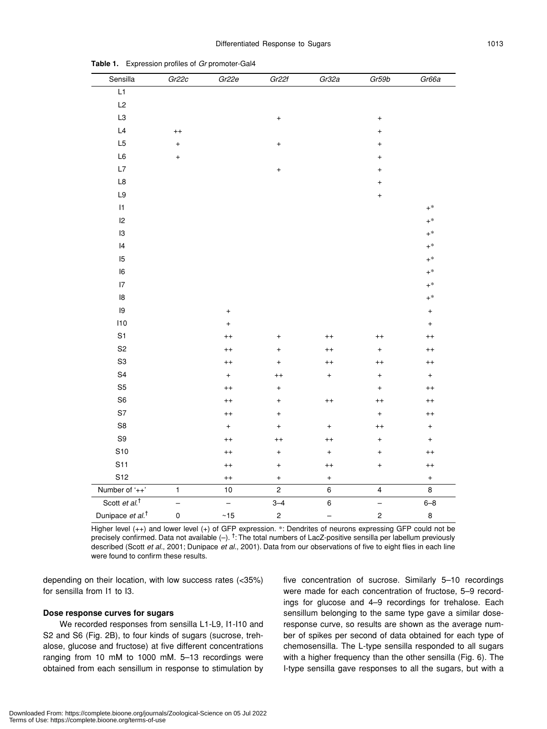| Sensilla                     | Gr22c                            | Gr22e                            | Gr22f                            | Gr32a                            | Gr59b                            | Gr66a            |
|------------------------------|----------------------------------|----------------------------------|----------------------------------|----------------------------------|----------------------------------|------------------|
| L1                           |                                  |                                  |                                  |                                  |                                  |                  |
| L2                           |                                  |                                  |                                  |                                  |                                  |                  |
| L <sub>3</sub>               |                                  |                                  | $\ddot{}$                        |                                  | $\qquad \qquad +$                |                  |
| L4                           | $^{++}$                          |                                  |                                  |                                  | $\ddot{}$                        |                  |
| L <sub>5</sub>               | $\begin{array}{c} + \end{array}$ |                                  | $\begin{array}{c} + \end{array}$ |                                  | $\ddot{}$                        |                  |
| L6                           | $\begin{array}{c} + \end{array}$ |                                  |                                  |                                  | $^{+}$                           |                  |
| L7                           |                                  |                                  | $\ddot{}$                        |                                  | $\begin{array}{c} + \end{array}$ |                  |
| L8                           |                                  |                                  |                                  |                                  | $\begin{array}{c} + \end{array}$ |                  |
| L9                           |                                  |                                  |                                  |                                  | $\qquad \qquad +$                |                  |
| $\vert$ 1                    |                                  |                                  |                                  |                                  |                                  | $+$ *            |
| 12                           |                                  |                                  |                                  |                                  |                                  | $+$ *            |
| $\mathsf{I}3$                |                                  |                                  |                                  |                                  |                                  | $+$ *            |
| $\mathsf{I}4$                |                                  |                                  |                                  |                                  |                                  | $+$ *            |
| 15                           |                                  |                                  |                                  |                                  |                                  | $+$ *            |
| 16                           |                                  |                                  |                                  |                                  |                                  | $+$ *            |
| 17                           |                                  |                                  |                                  |                                  |                                  | $+$ *            |
| $\overline{18}$              |                                  |                                  |                                  |                                  |                                  | $+$ *            |
| 9                            |                                  | $\begin{array}{c} + \end{array}$ |                                  |                                  |                                  | $\boldsymbol{+}$ |
| 110                          |                                  | $\begin{array}{c} + \end{array}$ |                                  |                                  |                                  | $\boldsymbol{+}$ |
| S <sub>1</sub>               |                                  | $^{++}$                          | $\ddot{}$                        | $^{++}$                          | $^{++}$                          | $^{++}$          |
| S <sub>2</sub>               |                                  | $^{++}$                          | $\ddot{}$                        | $^{++}$                          | $\begin{array}{c} + \end{array}$ | $^{++}$          |
| S <sub>3</sub>               |                                  | $^{++}$                          | $\ddot{}$                        | $^{++}$                          | $^{++}$                          | $^{++}$          |
| S <sub>4</sub>               |                                  | $\boldsymbol{+}$                 | $^{++}$                          | $\begin{array}{c} + \end{array}$ | $\ddot{}$                        | $+$              |
| S <sub>5</sub>               |                                  | $^{++}$                          | $\begin{array}{c} + \end{array}$ |                                  | $\begin{array}{c} + \end{array}$ | $^{++}$          |
| S <sub>6</sub>               |                                  | $^{++}$                          | $\ddot{}$                        | $^{++}$                          | $^{++}$                          | $^{++}$          |
| S7                           |                                  | $^{++}$                          | $\ddot{}$                        |                                  | $\ddot{}$                        | $^{++}$          |
| S8                           |                                  | $\begin{array}{c} + \end{array}$ | $\ddot{}$                        | $\ddot{}$                        | $^{++}$                          | $\boldsymbol{+}$ |
| S9                           |                                  | $^{++}$                          | $^{++}$                          | $^{++}$                          | $\begin{array}{c} + \end{array}$ | $\boldsymbol{+}$ |
| S10                          |                                  | $^{++}$                          | $\ddot{}$                        | $\ddot{}$                        | $\begin{array}{c} + \end{array}$ | $^{++}$          |
| S11                          |                                  | $^{++}$                          | $\begin{array}{c} + \end{array}$ | $^{++}$                          | $\qquad \qquad +$                | $^{++}$          |
| S12                          |                                  | $^{++}$                          | $\begin{array}{c} + \end{array}$ | $\begin{array}{c} + \end{array}$ |                                  | $+$              |
| Number of '++'               | 1                                | $10$                             | $\overline{c}$                   | 6                                | $\overline{\mathbf{4}}$          | 8                |
| Scott et al. <sup>1</sup>    | $\qquad \qquad -$                | $\qquad \qquad -$                | $3 - 4$                          | 6                                | $\overline{\phantom{0}}$         | $6 - 8$          |
| Dunipace et al. <sup>†</sup> | $\mathsf{O}\xspace$              | $\sim$ 15                        | $\overline{c}$                   |                                  | $\overline{c}$                   | $\bf8$           |

**Table 1.** Expression profiles of *Gr* promoter-Gal4

Higher level (++) and lower level (+) of GFP expression. \*: Dendrites of neurons expressing GFP could not be precisely confirmed. Data not available (-). <sup>†</sup>: The total numbers of LacZ-positive sensilla per labellum previously described (Scott *et al.*, 2001; Dunipace *et al.*, 2001). Data from our observations of five to eight flies in each line were found to confirm these results.

depending on their location, with low success rates (<35%) for sensilla from I1 to I3.

# **Dose response curves for sugars**

We recorded responses from sensilla L1-L9, I1-I10 and S2 and S6 (Fig. 2B), to four kinds of sugars (sucrose, trehalose, glucose and fructose) at five different concentrations ranging from 10 mM to 1000 mM. 5–13 recordings were obtained from each sensillum in response to stimulation by five concentration of sucrose. Similarly 5–10 recordings were made for each concentration of fructose, 5–9 recordings for glucose and 4–9 recordings for trehalose. Each sensillum belonging to the same type gave a similar doseresponse curve, so results are shown as the average number of spikes per second of data obtained for each type of chemosensilla. The L-type sensilla responded to all sugars with a higher frequency than the other sensilla (Fig. 6). The I-type sensilla gave responses to all the sugars, but with a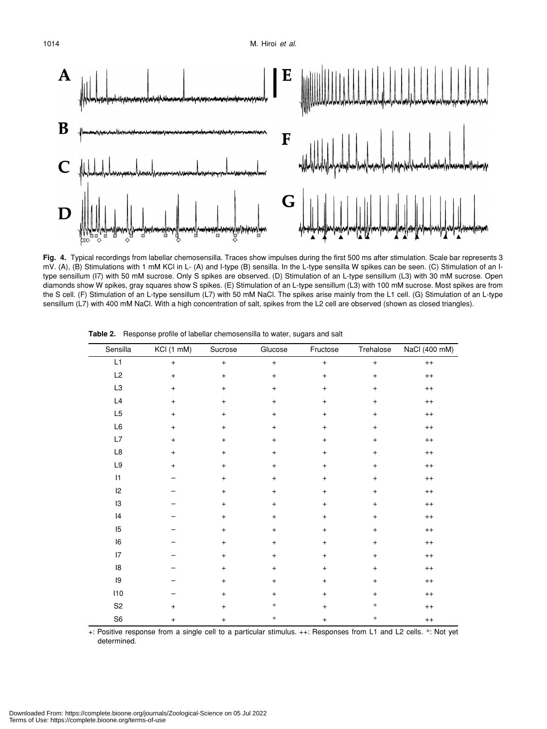

**Fig. 4.** Typical recordings from labellar chemosensilla. Traces show impulses during the first 500 ms after stimulation. Scale bar represents 3 mV. (A), (B) Stimulations with 1 mM KCl in L- (A) and I-type (B) sensilla. In the L-type sensilla W spikes can be seen. (C) Stimulation of an Itype sensillum (I7) with 50 mM sucrose. Only S spikes are observed. (D) Stimulation of an L-type sensillum (L3) with 30 mM sucrose. Open diamonds show W spikes, gray squares show S spikes. (E) Stimulation of an L-type sensillum (L3) with 100 mM sucrose. Most spikes are from the S cell. (F) Stimulation of an L-type sensillum (L7) with 50 mM NaCl. The spikes arise mainly from the L1 cell. (G) Stimulation of an L-type sensillum (L7) with 400 mM NaCl. With a high concentration of salt, spikes from the L2 cell are observed (shown as closed triangles).

| Sensilla        | KCI (1 mM)                       | Sucrose                          | Glucose   | Fructose                         | Trehalose                        | NaCl (400 mM) |
|-----------------|----------------------------------|----------------------------------|-----------|----------------------------------|----------------------------------|---------------|
| L1              | $+$                              | $+$                              | $+$       | $\begin{array}{c} + \end{array}$ | $\boldsymbol{+}$                 | $^{++}$       |
| L2              | $\begin{array}{c} + \end{array}$ | $+$                              | $+$       | $\begin{array}{c} + \end{array}$ | $\begin{array}{c} + \end{array}$ | $^{++}$       |
| L3              | $\begin{array}{c} + \end{array}$ | $\ddot{}$                        | $\ddot{}$ | $+$                              | $\begin{array}{c} + \end{array}$ | $^{++}$       |
| L4              | $\begin{array}{c} + \end{array}$ | $\ddot{}$                        | $\ddot{}$ | $+$                              | $\begin{array}{c} + \end{array}$ | $^{++}$       |
| L <sub>5</sub>  | $\begin{array}{c} + \end{array}$ | $\ddot{}$                        | $\ddot{}$ | $+$                              | $\begin{array}{c} + \end{array}$ | $^{++}$       |
| $\mathsf{L6}$   | $\begin{array}{c} + \end{array}$ | $+$                              | $+$       | $\begin{array}{c} + \end{array}$ | $^{\mathrm{+}}$                  | $^{++}$       |
| $\mathsf{L}7$   | $\begin{array}{c} + \end{array}$ | $+$                              | $\ddot{}$ | $+$                              | $^{\mathrm{+}}$                  | $^{++}$       |
| $\mathsf{L8}$   | $\ddot{}$                        | $+$                              | $+$       | $+$                              | $^{\mathrm{+}}$                  | $^{++}$       |
| $\mathsf{L}9$   | $\begin{array}{c} + \end{array}$ | $\ddot{}$                        | $\ddot{}$ | $+$                              | $\begin{array}{c} + \end{array}$ | $^{++}$       |
| 1               |                                  | $\ddot{}$                        | $+$       | $+$                              | $\begin{array}{c} + \end{array}$ | $^{++}$       |
| 12              |                                  | $\ddot{}$                        | $+$       | $+$                              | $\begin{array}{c} + \end{array}$ | $^{++}$       |
| 13              |                                  | $+$                              | $+$       | $+$                              | $\begin{array}{c} + \end{array}$ | $^{++}$       |
| $\mathsf{I}4$   |                                  | $\ddot{}$                        | $+$       | $^{+}$                           | $^{\mathrm{+}}$                  | $^{++}$       |
| 15              |                                  | $+$                              | $+$       | $+$                              | $^{\mathrm{+}}$                  | $^{++}$       |
| 16              |                                  | $\ddot{}$                        | $+$       | $+$                              | $\begin{array}{c} + \end{array}$ | $^{++}$       |
| 17              |                                  | $\ddot{}$                        | $\ddot{}$ | $\begin{array}{c} + \end{array}$ | $\begin{array}{c} + \end{array}$ | $^{++}$       |
| $\overline{18}$ |                                  | $\ddot{}$                        | $\ddot{}$ | $+$                              | $\begin{array}{c} + \end{array}$ | $^{++}$       |
| 19              |                                  | $+$                              | $+$       | $+$                              | $\begin{array}{c} + \end{array}$ | $^{++}$       |
| 110             |                                  | $+$                              | $\ddot{}$ | $+$                              | $\ddot{}$                        | $^{++}$       |
| S <sub>2</sub>  | $\ddot{}$                        | $+$                              | $\ast$    | $+$                              | *                                | $^{++}$       |
| S <sub>6</sub>  | $\begin{array}{c} + \end{array}$ | $\begin{array}{c} + \end{array}$ | $\ast$    | $^{+}$                           | $\approx$                        | $^{++}$       |

**Table 2.** Response profile of labellar chemosensilla to water, sugars and salt

+: Positive response from a single cell to a particular stimulus. ++: Responses from L1 and L2 cells. \*: Not yet determined.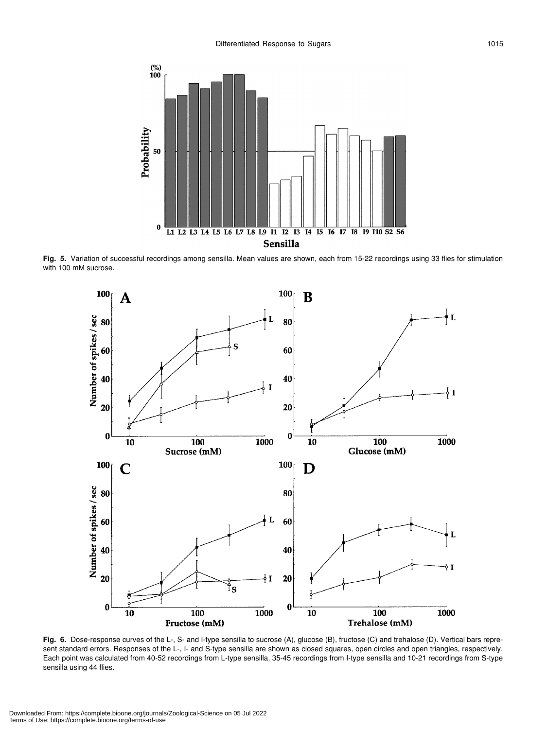

**Fig. 5.** Variation of successful recordings among sensilla. Mean values are shown, each from 15-22 recordings using 33 flies for stimulation with 100 mM sucrose.



Fig. 6. Dose-response curves of the L-, S- and I-type sensilla to sucrose (A), glucose (B), fructose (C) and trehalose (D). Vertical bars represent standard errors. Responses of the L-, I- and S-type sensilla are shown as closed squares, open circles and open triangles, respectively. Each point was calculated from 40-52 recordings from L-type sensilla, 35-45 recordings from I-type sensilla and 10-21 recordings from S-type sensilla using 44 flies.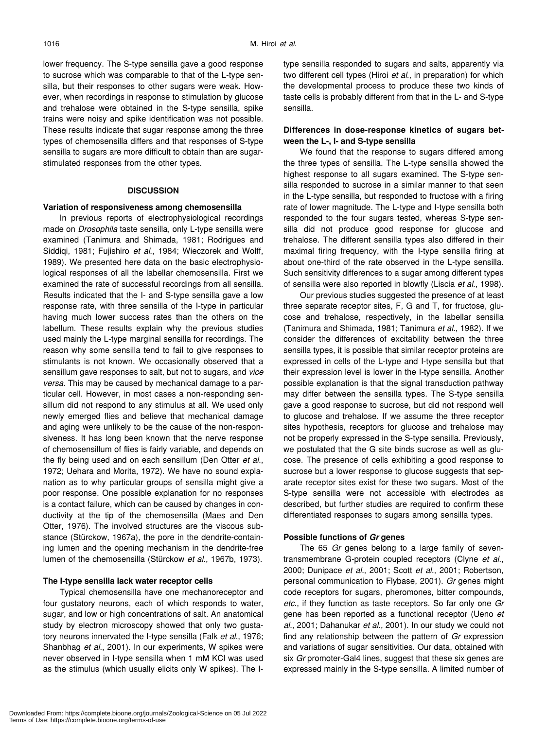lower frequency. The S-type sensilla gave a good response to sucrose which was comparable to that of the L-type sensilla, but their responses to other sugars were weak. However, when recordings in response to stimulation by glucose and trehalose were obtained in the S-type sensilla, spike trains were noisy and spike identification was not possible. These results indicate that sugar response among the three types of chemosensilla differs and that responses of S-type sensilla to sugars are more difficult to obtain than are sugarstimulated responses from the other types.

# **DISCUSSION**

# **Variation of responsiveness among chemosensilla**

In previous reports of electrophysiological recordings made on *Drosophila* taste sensilla, only L-type sensilla were examined (Tanimura and Shimada, 1981; Rodrigues and Siddiqi, 1981; Fujishiro *et al*., 1984; Wieczorek and Wolff, 1989). We presented here data on the basic electrophysiological responses of all the labellar chemosensilla. First we examined the rate of successful recordings from all sensilla. Results indicated that the I- and S-type sensilla gave a low response rate, with three sensilla of the I-type in particular having much lower success rates than the others on the labellum. These results explain why the previous studies used mainly the L-type marginal sensilla for recordings. The reason why some sensilla tend to fail to give responses to stimulants is not known. We occasionally observed that a sensillum gave responses to salt, but not to sugars, and *vice versa*. This may be caused by mechanical damage to a particular cell. However, in most cases a non-responding sensillum did not respond to any stimulus at all. We used only newly emerged flies and believe that mechanical damage and aging were unlikely to be the cause of the non-responsiveness. It has long been known that the nerve response of chemosensillum of flies is fairly variable, and depends on the fly being used and on each sensillum (Den Otter *et al.*, 1972; Uehara and Morita, 1972). We have no sound explanation as to why particular groups of sensilla might give a poor response. One possible explanation for no responses is a contact failure, which can be caused by changes in conductivity at the tip of the chemosensilla (Maes and Den Otter, 1976). The involved structures are the viscous substance (Stürckow, 1967a), the pore in the dendrite-containing lumen and the opening mechanism in the dendrite-free lumen of the chemosensilla (Stürckow *et al*., 1967b, 1973).

#### **The I-type sensilla lack water receptor cells**

Typical chemosensilla have one mechanoreceptor and four gustatory neurons, each of which responds to water, sugar, and low or high concentrations of salt. An anatomical study by electron microscopy showed that only two gustatory neurons innervated the I-type sensilla (Falk *et al.*, 1976; Shanbhag *et al.*, 2001). In our experiments, W spikes were never observed in I-type sensilla when 1 mM KCl was used as the stimulus (which usually elicits only W spikes). The I- type sensilla responded to sugars and salts, apparently via two different cell types (Hiroi *et al*., in preparation) for which the developmental process to produce these two kinds of taste cells is probably different from that in the L- and S-type sensilla.

# **Differences in dose-response kinetics of sugars between the L-, I- and S-type sensilla**

We found that the response to sugars differed among the three types of sensilla. The L-type sensilla showed the highest response to all sugars examined. The S-type sensilla responded to sucrose in a similar manner to that seen in the L-type sensilla, but responded to fructose with a firing rate of lower magnitude. The L-type and I-type sensilla both responded to the four sugars tested, whereas S-type sensilla did not produce good response for glucose and trehalose. The different sensilla types also differed in their maximal firing frequency, with the I-type sensilla firing at about one-third of the rate observed in the L-type sensilla. Such sensitivity differences to a sugar among different types of sensilla were also reported in blowfly (Liscia *et al*., 1998).

Our previous studies suggested the presence of at least three separate receptor sites, F, G and T, for fructose, glucose and trehalose, respectively, in the labellar sensilla (Tanimura and Shimada, 1981; Tanimura *et al*., 1982). If we consider the differences of excitability between the three sensilla types, it is possible that similar receptor proteins are expressed in cells of the L-type and I-type sensilla but that their expression level is lower in the I-type sensilla. Another possible explanation is that the signal transduction pathway may differ between the sensilla types. The S-type sensilla gave a good response to sucrose, but did not respond well to glucose and trehalose. If we assume the three receptor sites hypothesis, receptors for glucose and trehalose may not be properly expressed in the S-type sensilla. Previously, we postulated that the G site binds sucrose as well as glucose. The presence of cells exhibiting a good response to sucrose but a lower response to glucose suggests that separate receptor sites exist for these two sugars. Most of the S-type sensilla were not accessible with electrodes as described, but further studies are required to confirm these differentiated responses to sugars among sensilla types.

# **Possible functions of** *Gr* **genes**

The 65 *Gr* genes belong to a large family of seventransmembrane G-protein coupled receptors (Clyne *et al.*, 2000; Dunipace *et al.*, 2001; Scott *et al.*, 2001; Robertson, personal communication to Flybase, 2001). *Gr* genes might code receptors for sugars, pheromones, bitter compounds, *etc*., if they function as taste receptors. So far only one *Gr* gene has been reported as a functional receptor (Ueno *et al.*, 2001; Dahanukar *et al.*, 2001). In our study we could not find any relationship between the pattern of *Gr* expression and variations of sugar sensitivities. Our data, obtained with six *Gr* promoter-Gal4 lines, suggest that these six genes are expressed mainly in the S-type sensilla. A limited number of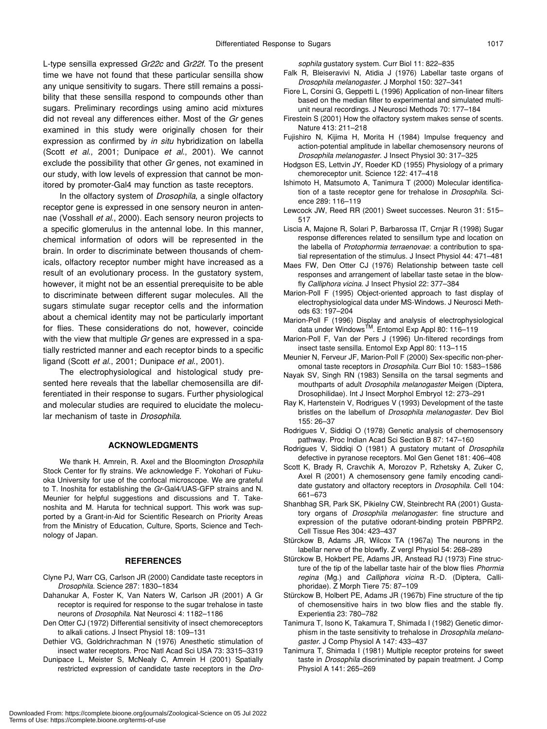L-type sensilla expressed *Gr22c* and *Gr22f*. To the present time we have not found that these particular sensilla show any unique sensitivity to sugars. There still remains a possibility that these sensilla respond to compounds other than sugars. Preliminary recordings using amino acid mixtures did not reveal any differences either. Most of the *Gr* genes examined in this study were originally chosen for their expression as confirmed by *in situ* hybridization on labella (Scott *et al*., 2001; Dunipace *et al*., 2001). We cannot exclude the possibility that other *Gr* genes, not examined in our study, with low levels of expression that cannot be monitored by promoter-Gal4 may function as taste receptors.

In the olfactory system of *Drosophila*, a single olfactory receptor gene is expressed in one sensory neuron in antennae (Vosshall *et al*., 2000). Each sensory neuron projects to a specific glomerulus in the antennal lobe. In this manner, chemical information of odors will be represented in the brain. In order to discriminate between thousands of chemicals, olfactory receptor number might have increased as a result of an evolutionary process. In the gustatory system, however, it might not be an essential prerequisite to be able to discriminate between different sugar molecules. All the sugars stimulate sugar receptor cells and the information about a chemical identity may not be particularly important for flies. These considerations do not, however, coincide with the view that multiple *Gr* genes are expressed in a spatially restricted manner and each receptor binds to a specific ligand (Scott *et al*., 2001; Dunipace *et al*., 2001).

The electrophysiological and histological study presented here reveals that the labellar chemosensilla are differentiated in their response to sugars. Further physiological and molecular studies are required to elucidate the molecular mechanism of taste in *Drosophila*.

#### **ACKNOWLEDGMENTS**

We thank H. Amrein, R. Axel and the Bloomington *Drosophila* Stock Center for fly strains. We acknowledge F. Yokohari of Fukuoka University for use of the confocal microscope. We are grateful to T. Inoshita for establishing the *Gr*-Gal4/UAS-GFP strains and N. Meunier for helpful suggestions and discussions and T. Takenoshita and M. Haruta for technical support. This work was supported by a Grant-in-Aid for Scientific Research on Priority Areas from the Ministry of Education, Culture, Sports, Science and Technology of Japan.

#### **REFERENCES**

- Clyne PJ, Warr CG, Carlson JR (2000) Candidate taste receptors in *Drosophila*. Science 287: 1830–1834
- Dahanukar A, Foster K, Van Naters W, Carlson JR (2001) A Gr receptor is required for response to the sugar trehalose in taste neurons of *Drosophila*. Nat Neurosci 4: 1182–1186
- Den Otter CJ (1972) Differential sensitivity of insect chemoreceptors to alkali cations. J Insect Physiol 18: 109–131
- Dethier VG, Goldrichrachman N (1976) Anesthetic stimulation of insect water receptors. Proc Natl Acad Sci USA 73: 3315–3319
- Dunipace L, Meister S, McNealy C, Amrein H (2001) Spatially restricted expression of candidate taste receptors in the *Dro-*

*sophila* gustatory system. Curr Biol 11: 822–835

- Falk R, Bleiseravivi N, Atidia J (1976) Labellar taste organs of *Drosophila melanogaster*. J Morphol 150: 327–341
- Fiore L, Corsini G, Geppetti L (1996) Application of non-linear filters based on the median filter to experimental and simulated multiunit neural recordings. J Neurosci Methods 70: 177–184
- Firestein S (2001) How the olfactory system makes sense of scents. Nature 413: 211–218
- Fujishiro N, Kijima H, Morita H (1984) Impulse frequency and action-potential amplitude in labellar chemosensory neurons of *Drosophila melanogaster*. J Insect Physiol 30: 317–325
- Hodgson ES, Lettvin JY, Roeder KD (1955) Physiology of a primary chemoreceptor unit. Science 122: 417–418
- Ishimoto H, Matsumoto A, Tanimura T (2000) Molecular identification of a taste receptor gene for trehalose in *Drosophila*. Science 289: 116–119
- Lewcock JW, Reed RR (2001) Sweet successes. Neuron 31: 515– 517
- Liscia A, Majone R, Solari P, Barbarossa IT, Crnjar R (1998) Sugar response differences related to sensillum type and location on the labella of *Protophormia terraenovae*: a contribution to spatial representation of the stimulus. J Insect Physiol 44: 471–481
- Maes FW, Den Otter CJ (1976) Relationship between taste cell responses and arrangement of labellar taste setae in the blowfly *Calliphora vicina*. J Insect Physiol 22: 377–384
- Marion-Poll F (1995) Object-oriented approach to fast display of electrophysiological data under MS-Windows. J Neurosci Methods 63: 197–204
- Marion-Poll F (1996) Display and analysis of electrophysiological data under Windows<sup>TM</sup>. Entomol Exp Appl 80: 116–119
- Marion-Poll F, Van der Pers J (1996) Un-filtered recordings from insect taste sensilla. Entomol Exp Appl 80: 113–115
- Meunier N, Ferveur JF, Marion-Poll F (2000) Sex-specific non-pheromonal taste receptors in *Drosophila*. Curr Biol 10: 1583–1586
- Nayak SV, Singh RN (1983) Sensilla on the tarsal segments and mouthparts of adult *Drosophila melanogaster* Meigen (Diptera, Drosophilidae). Int J Insect Morphol Embryol 12: 273–291
- Ray K, Hartenstein V, Rodrigues V (1993) Development of the taste bristles on the labellum of *Drosophila melanogaster*. Dev Biol 155: 26–37
- Rodrigues V, Siddiqi O (1978) Genetic analysis of chemosensory pathway. Proc Indian Acad Sci Section B 87: 147–160
- Rodrigues V, Siddiqi O (1981) A gustatory mutant of *Drosophila* defective in pyranose receptors. Mol Gen Genet 181: 406–408
- Scott K, Brady R, Cravchik A, Morozov P, Rzhetsky A, Zuker C, Axel R (2001) A chemosensory gene family encoding candidate gustatory and olfactory receptors in *Drosophila*. Cell 104: 661–673
- Shanbhag SR, Park SK, Pikielny CW, Steinbrecht RA (2001) Gustatory organs of *Drosophila melanogaster*: fine structure and expression of the putative odorant-binding protein PBPRP2. Cell Tissue Res 304: 423–437
- Stürckow B, Adams JR, Wilcox TA (1967a) The neurons in the labellar nerve of the blowfly. Z vergl Physiol 54: 268–289
- Stürckow B, Hokbert PE, Adams JR, Anstead RJ (1973) Fine structure of the tip of the labellar taste hair of the blow flies *Phormia regina* (Mg.) and *Calliphora vicina* R.-D. (Diptera, Calliphoridae). Z Morph Tiere 75: 87–109
- Stürckow B, Holbert PE, Adams JR (1967b) Fine structure of the tip of chemosensitive hairs in two blow flies and the stable fly. Experientia 23: 780–782
- Tanimura T, Isono K, Takamura T, Shimada I (1982) Genetic dimorphism in the taste sensitivity to trehalose in *Drosophila melanogaster*. J Comp Physiol A 147: 433–437
- Tanimura T, Shimada I (1981) Multiple receptor proteins for sweet taste in *Drosophila* discriminated by papain treatment. J Comp Physiol A 141: 265–269